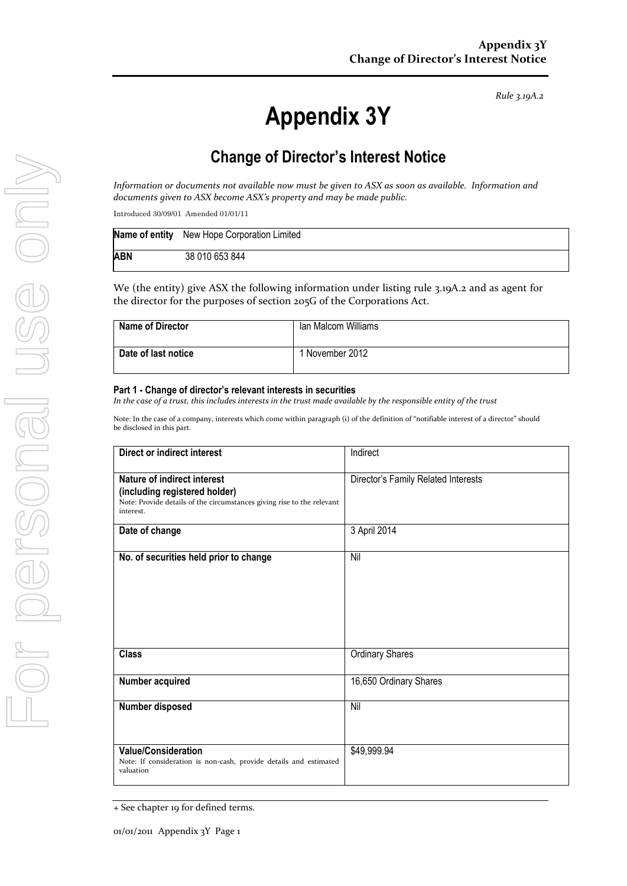*Rule 3.19A.2*

# **Appendix 3Y**

# **Change of Director's Interest Notice**

*Information or documents not available now must be given to ASX as soon as available. Information and documents given to ASX become ASX's property and may be made public.*

Introduced 30/09/01 Amended 01/01/11

|            | Name of entity New Hope Corporation Limited |
|------------|---------------------------------------------|
| <b>ABN</b> | 38 010 653 844                              |

We (the entity) give ASX the following information under listing rule 3.19A.2 and as agent for the director for the purposes of section 205G of the Corporations Act.

| <b>Name of Director</b> | Ian Malcom Williams |
|-------------------------|---------------------|
| Date of last notice     | 1 November 2012     |

#### **Part 1 - Change of director's relevant interests in securities**

*In the case of a trust, this includes interests in the trust made available by the responsible entity of the trust*

Note: In the case of a company, interests which come within paragraph (i) of the definition of "notifiable interest of a director" should be disclosed in this part.

| Direct or indirect interest                                                                                                                         | Indirect                            |  |
|-----------------------------------------------------------------------------------------------------------------------------------------------------|-------------------------------------|--|
| Nature of indirect interest<br>(including registered holder)<br>Note: Provide details of the circumstances giving rise to the relevant<br>interest. | Director's Family Related Interests |  |
| Date of change                                                                                                                                      | 3 April 2014                        |  |
| No. of securities held prior to change                                                                                                              | Nil                                 |  |
| <b>Class</b>                                                                                                                                        | <b>Ordinary Shares</b>              |  |
| Number acquired                                                                                                                                     | 16,650 Ordinary Shares              |  |
| Number disposed                                                                                                                                     | Nil                                 |  |
| <b>Value/Consideration</b><br>Note: If consideration is non-cash, provide details and estimated<br>valuation                                        | \$49,999.94                         |  |

<sup>+</sup> See chapter 19 for defined terms.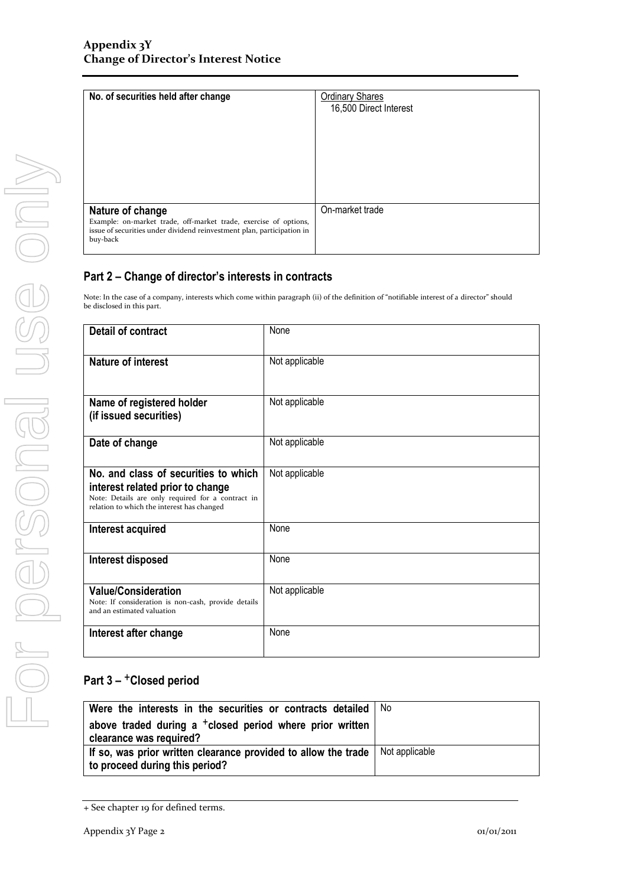| No. of securities held after change                                                                                                                                        | <b>Ordinary Shares</b><br>16,500 Direct Interest |
|----------------------------------------------------------------------------------------------------------------------------------------------------------------------------|--------------------------------------------------|
| Nature of change<br>Example: on-market trade, off-market trade, exercise of options,<br>issue of securities under dividend reinvestment plan, participation in<br>buy-back | On-market trade                                  |

### **Part 2 – Change of director's interests in contracts**

Note: In the case of a company, interests which come within paragraph (ii) of the definition of "notifiable interest of a director" should be disclosed in this part.

| <b>Detail of contract</b>                                                                                                                                                   | None           |  |
|-----------------------------------------------------------------------------------------------------------------------------------------------------------------------------|----------------|--|
| <b>Nature of interest</b>                                                                                                                                                   | Not applicable |  |
| Name of registered holder<br>(if issued securities)                                                                                                                         | Not applicable |  |
| Date of change                                                                                                                                                              | Not applicable |  |
| No. and class of securities to which<br>interest related prior to change<br>Note: Details are only required for a contract in<br>relation to which the interest has changed | Not applicable |  |
| Interest acquired                                                                                                                                                           | None           |  |
| Interest disposed                                                                                                                                                           | None           |  |
| <b>Value/Consideration</b><br>Note: If consideration is non-cash, provide details<br>and an estimated valuation                                                             | Not applicable |  |
| Interest after change                                                                                                                                                       | None           |  |

## **Part 3 –** +**Closed period**

| Were the interests in the securities or contracts detailed                                       | No             |
|--------------------------------------------------------------------------------------------------|----------------|
| above traded during a <sup>+</sup> closed period where prior written<br>clearance was required?  |                |
| If so, was prior written clearance provided to allow the trade<br>to proceed during this period? | Not applicable |

<sup>+</sup> See chapter 19 for defined terms.